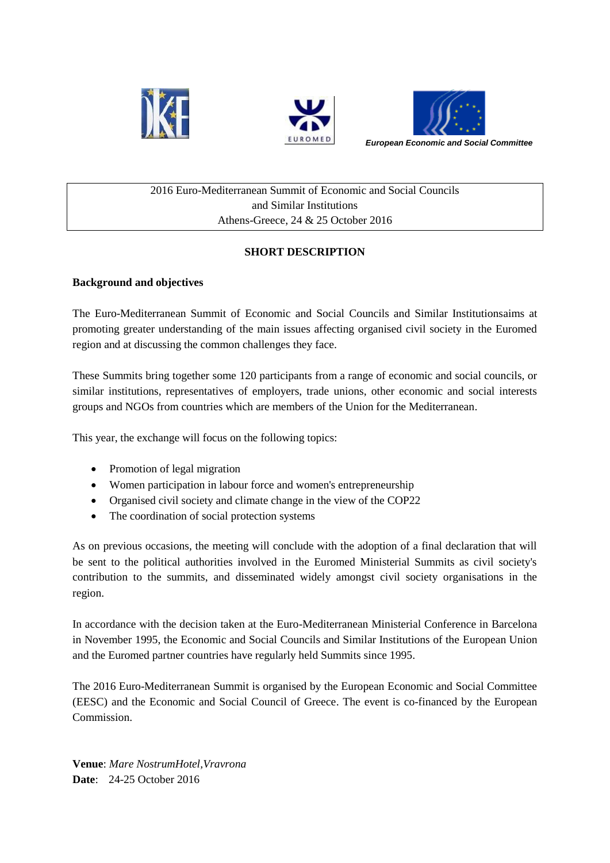





## 2016 Euro-Mediterranean Summit of Economic and Social Councils and Similar Institutions Athens-Greece, 24 & 25 October 2016

# **SHORT DESCRIPTION**

## **Background and objectives**

The Euro-Mediterranean Summit of Economic and Social Councils and Similar Institutionsaims at promoting greater understanding of the main issues affecting organised civil society in the Euromed region and at discussing the common challenges they face.

These Summits bring together some 120 participants from a range of economic and social councils, or similar institutions, representatives of employers, trade unions, other economic and social interests groups and NGOs from countries which are members of the Union for the Mediterranean.

This year, the exchange will focus on the following topics:

- Promotion of legal migration
- Women participation in labour force and women's entrepreneurship
- Organised civil society and climate change in the view of the COP22
- The coordination of social protection systems

As on previous occasions, the meeting will conclude with the adoption of a final declaration that will be sent to the political authorities involved in the Euromed Ministerial Summits as civil society's contribution to the summits, and disseminated widely amongst civil society organisations in the region.

In accordance with the decision taken at the Euro-Mediterranean Ministerial Conference in Barcelona in November 1995, the Economic and Social Councils and Similar Institutions of the European Union and the Euromed partner countries have regularly held Summits since 1995.

The 2016 Euro-Mediterranean Summit is organised by the European Economic and Social Committee (EESC) and the Economic and Social Council of Greece. The event is co-financed by the European Commission.

**Venue**: *Mare NostrumHotel,Vravrona* **Date**: 24-25 October 2016